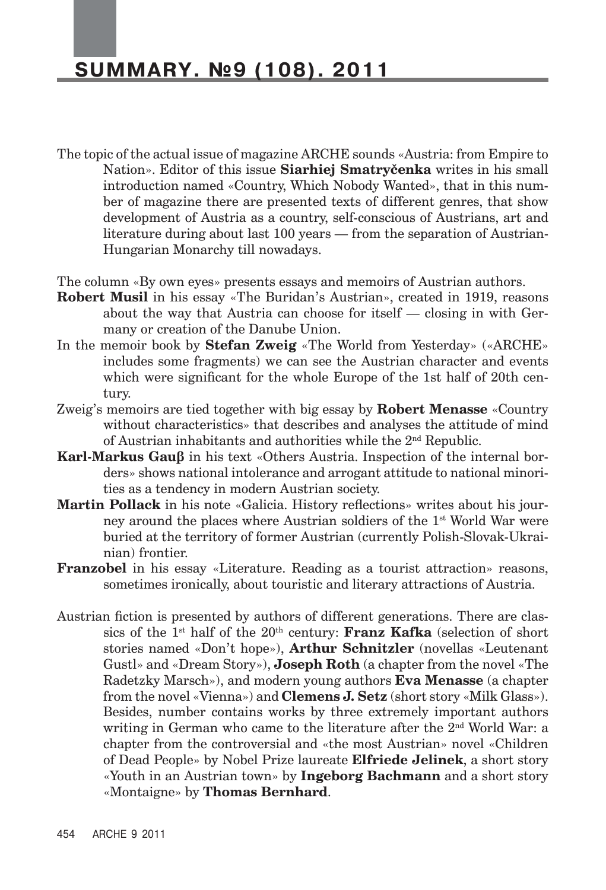- The topic of the actual issue of magazine ARCHE sounds «Austria: from Empire to Nation». Editor of this issue **Siarhiej Smatryčenka** writes in his small introduction named «Country, Which Nobody Wanted», that in this number of magazine there are presented texts of different genres, that show development of Austria as a country, self-conscious of Austrians, art and literature during about last 100 years — from the separation of Austrian-Hungarian Monarchy till nowadays.
- The column «By own eyes» presents essays and memoirs of Austrian authors.
- **Robert Musil** in his essay «The Buridan's Austrian», created in 1919, reasons about the way that Austria can choose for itself — closing in with Germany or creation of the Danube Union.
- In the memoir book by **Stefan Zweig** «The World from Yesterday» («ARCHE» includes some fragments) we can see the Austrian character and events which were significant for the whole Europe of the 1st half of 20th century.
- Zweig's memoirs are tied together with big essay by **Robert Menasse** «Country without characteristics» that describes and analyses the attitude of mind of Austrian inhabitants and authorities while the  $2<sup>nd</sup>$  Republic.
- **Karl-Markus Gauβ** in his text «Others Austria. Inspection of the internal borders» shows national intolerance and arrogant attitude to national minorities as a tendency in modern Austrian society.
- **Martin Pollack** in his note «Galicia. History reflections» writes about his journey around the places where Austrian soldiers of the  $1<sup>st</sup>$  World War were buried at the territory of former Austrian (currently Polish-Slovak-Ukrainian) frontier.
- **Franzobel** in his essay «Literature. Reading as a tourist attraction» reasons, sometimes ironically, about touristic and literary attractions of Austria.
- Austrian fiction is presented by authors of different generations. There are classics of the  $1<sup>st</sup>$  half of the  $20<sup>th</sup>$  century: **Franz Kafka** (selection of short stories named «Don't hope»), **Arthur Schnitzler** (novellas «Leutenant Gustl» and «Dream Story»), **Joseph Roth** (a chapter from the novel «The Radetzky Marsch»), and modern young authors **Eva Menasse** (a chapter from the novel «Vienna») and **Clemens J. Setz** (short story «Milk Glass»). Besides, number contains works by three extremely important authors writing in German who came to the literature after the 2nd World War: a chapter from the controversial and «the most Austrian» novel «Children of Dead People» by Nobel Prize laureate **Elfriede Jelinek**, a short story «Youth in an Austrian town» by **Ingeborg Bachmann** and a short story «Montaigne» by **Thomas Bernhard**.